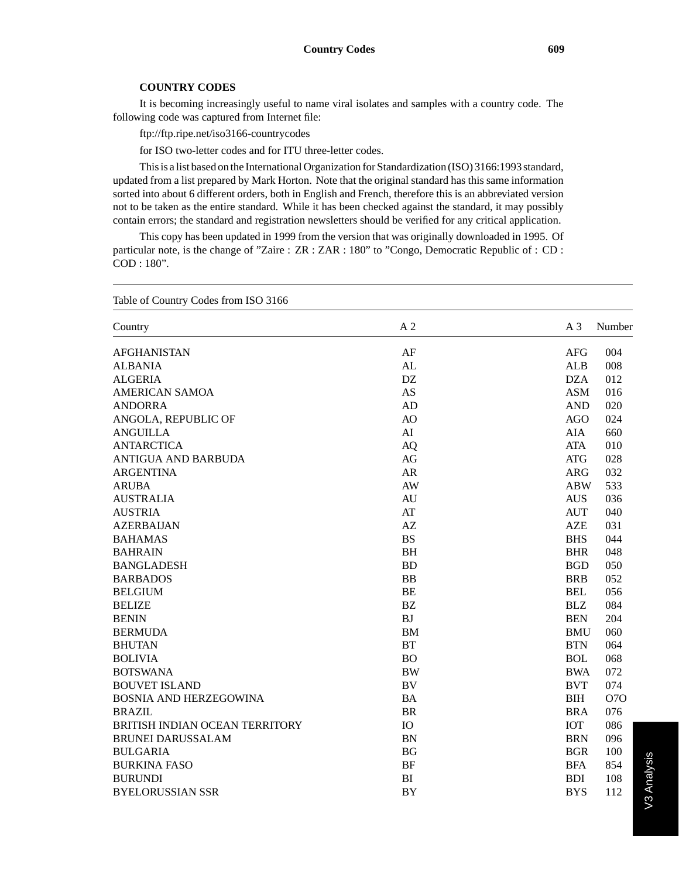It is becoming increasingly useful to name viral isolates and samples with a country code. The following code was captured from Internet file:

ftp://ftp.ripe.net/iso3166-countrycodes

for ISO two-letter codes and for ITU three-letter codes.

This is a list based on the International Organization for Standardization (ISO) 3166:1993 standard, updated from a list prepared by Mark Horton. Note that the original standard has this same information sorted into about 6 different orders, both in English and French, therefore this is an abbreviated version not to be taken as the entire standard. While it has been checked against the standard, it may possibly contain errors; the standard and registration newsletters should be verified for any critical application.

This copy has been updated in 1999 from the version that was originally downloaded in 1995. Of particular note, is the change of "Zaire : ZR : ZAR : 180" to "Congo, Democratic Republic of : CD : COD : 180".

| Table of Country Codes from ISO 3166  |                |                |            |  |
|---------------------------------------|----------------|----------------|------------|--|
| Country                               | A <sub>2</sub> | A <sub>3</sub> | Number     |  |
| <b>AFGHANISTAN</b>                    | AF             | <b>AFG</b>     | 004        |  |
| <b>ALBANIA</b>                        | AL             | <b>ALB</b>     | 008        |  |
| <b>ALGERIA</b>                        | DZ             | <b>DZA</b>     | 012        |  |
| AMERICAN SAMOA                        | AS             | <b>ASM</b>     | 016        |  |
| <b>ANDORRA</b>                        | AD             | <b>AND</b>     | 020        |  |
| ANGOLA, REPUBLIC OF                   | AO             | <b>AGO</b>     | 024        |  |
| <b>ANGUILLA</b>                       | AI             | AIA            | 660        |  |
| <b>ANTARCTICA</b>                     | <b>AQ</b>      | <b>ATA</b>     | 010        |  |
| <b>ANTIGUA AND BARBUDA</b>            | AG             | <b>ATG</b>     | 028        |  |
| <b>ARGENTINA</b>                      | <b>AR</b>      | <b>ARG</b>     | 032        |  |
| <b>ARUBA</b>                          | AW             | <b>ABW</b>     | 533        |  |
| <b>AUSTRALIA</b>                      | <b>AU</b>      | <b>AUS</b>     | 036        |  |
| <b>AUSTRIA</b>                        | AT             | <b>AUT</b>     | 040        |  |
| <b>AZERBAIJAN</b>                     | AZ             | <b>AZE</b>     | 031        |  |
| <b>BAHAMAS</b>                        | <b>BS</b>      | <b>BHS</b>     | 044        |  |
| <b>BAHRAIN</b>                        | <b>BH</b>      | <b>BHR</b>     | 048        |  |
| <b>BANGLADESH</b>                     | <b>BD</b>      | <b>BGD</b>     | 050        |  |
| <b>BARBADOS</b>                       | <b>BB</b>      | <b>BRB</b>     | 052        |  |
| <b>BELGIUM</b>                        | <b>BE</b>      | <b>BEL</b>     | 056        |  |
| <b>BELIZE</b>                         | <b>BZ</b>      | <b>BLZ</b>     | 084        |  |
| <b>BENIN</b>                          | <b>BJ</b>      | <b>BEN</b>     | 204        |  |
| <b>BERMUDA</b>                        | <b>BM</b>      | <b>BMU</b>     | 060        |  |
| <b>BHUTAN</b>                         | <b>BT</b>      | <b>BTN</b>     | 064        |  |
| <b>BOLIVIA</b>                        | <b>BO</b>      | <b>BOL</b>     | 068        |  |
| <b>BOTSWANA</b>                       | <b>BW</b>      | <b>BWA</b>     | 072        |  |
| <b>BOUVET ISLAND</b>                  | BV             | <b>BVT</b>     | 074        |  |
| <b>BOSNIA AND HERZEGOWINA</b>         | <b>BA</b>      | <b>BIH</b>     | <b>O7O</b> |  |
| <b>BRAZIL</b>                         | <b>BR</b>      | <b>BRA</b>     | 076        |  |
| <b>BRITISH INDIAN OCEAN TERRITORY</b> | IO             | <b>IOT</b>     | 086        |  |
| <b>BRUNEI DARUSSALAM</b>              | <b>BN</b>      | <b>BRN</b>     | 096        |  |
| <b>BULGARIA</b>                       | <b>BG</b>      | <b>BGR</b>     | 100        |  |
| <b>BURKINA FASO</b>                   | <b>BF</b>      | <b>BFA</b>     | 854        |  |
| <b>BURUNDI</b>                        | BI             | <b>BDI</b>     | 108        |  |
| <b>BYELORUSSIAN SSR</b>               | <b>BY</b>      | <b>BYS</b>     | 112        |  |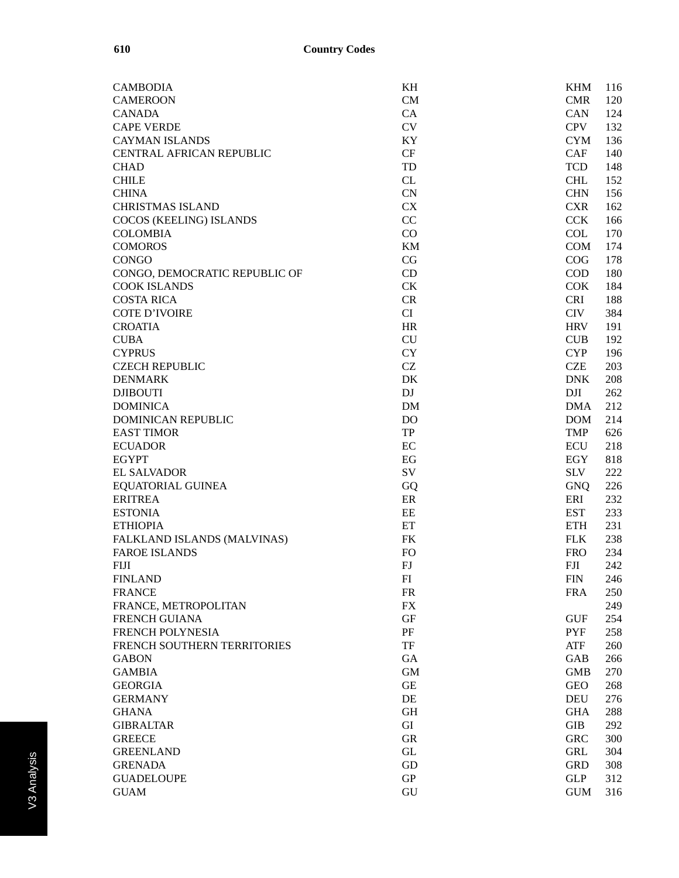| <b>CAMBODIA</b>               | KH                  | <b>KHM</b><br>116 |
|-------------------------------|---------------------|-------------------|
| <b>CAMEROON</b>               | CM                  | <b>CMR</b><br>120 |
| <b>CANADA</b>                 | CA                  | CAN<br>124        |
| <b>CAPE VERDE</b>             | CV                  | <b>CPV</b><br>132 |
| <b>CAYMAN ISLANDS</b>         | KY                  | <b>CYM</b><br>136 |
| CENTRAL AFRICAN REPUBLIC      | CF                  | <b>CAF</b><br>140 |
| <b>CHAD</b>                   | TD                  | <b>TCD</b><br>148 |
| <b>CHILE</b>                  | ${\rm CL}$          | <b>CHL</b><br>152 |
| <b>CHINA</b>                  | <b>CN</b>           | <b>CHN</b><br>156 |
| <b>CHRISTMAS ISLAND</b>       | CX                  | <b>CXR</b><br>162 |
| COCOS (KEELING) ISLANDS       | CC                  | <b>CCK</b><br>166 |
| <b>COLOMBIA</b>               | CO                  | <b>COL</b><br>170 |
| <b>COMOROS</b>                | <b>KM</b>           | <b>COM</b><br>174 |
| <b>CONGO</b>                  | CG                  | COG<br>178        |
| CONGO, DEMOCRATIC REPUBLIC OF | CD                  | <b>COD</b><br>180 |
| <b>COOK ISLANDS</b>           | CK                  | <b>COK</b><br>184 |
| <b>COSTA RICA</b>             | ${\cal CR}$         | <b>CRI</b><br>188 |
| <b>COTE D'IVOIRE</b>          | CI                  | <b>CIV</b><br>384 |
| <b>CROATIA</b>                | <b>HR</b>           | <b>HRV</b><br>191 |
| <b>CUBA</b>                   | CU                  | CUB<br>192        |
| <b>CYPRUS</b>                 | <b>CY</b>           | <b>CYP</b><br>196 |
| <b>CZECH REPUBLIC</b>         | $\operatorname{CZ}$ | <b>CZE</b><br>203 |
| <b>DENMARK</b>                | DK                  | <b>DNK</b><br>208 |
| <b>DJIBOUTI</b>               | DJ                  | DJI<br>262        |
| <b>DOMINICA</b>               | <b>DM</b>           | <b>DMA</b><br>212 |
| <b>DOMINICAN REPUBLIC</b>     | <b>DO</b>           | <b>DOM</b><br>214 |
| <b>EAST TIMOR</b>             | TP                  | <b>TMP</b><br>626 |
| <b>ECUADOR</b>                | EC                  | <b>ECU</b><br>218 |
| <b>EGYPT</b>                  | EG                  | 818<br>EGY        |
| <b>EL SALVADOR</b>            | ${\rm SV}$          | <b>SLV</b><br>222 |
| <b>EQUATORIAL GUINEA</b>      | GQ                  | <b>GNQ</b><br>226 |
| <b>ERITREA</b>                | ER                  | ERI<br>232        |
| <b>ESTONIA</b>                | EE                  | <b>EST</b><br>233 |
| <b>ETHIOPIA</b>               | ET                  | <b>ETH</b><br>231 |
| FALKLAND ISLANDS (MALVINAS)   | <b>FK</b>           | <b>FLK</b><br>238 |
| <b>FAROE ISLANDS</b>          | <b>FO</b>           | 234<br><b>FRO</b> |
| <b>FIJI</b>                   | FJ                  | FJI<br>242        |
| <b>FINLAND</b>                | ${\rm FI}$          | <b>FIN</b><br>246 |
| <b>FRANCE</b>                 | <b>FR</b>           | <b>FRA</b><br>250 |
| FRANCE, METROPOLITAN          | FX                  | 249               |
| <b>FRENCH GUIANA</b>          | $\operatorname{GF}$ | <b>GUF</b><br>254 |
| FRENCH POLYNESIA              | PF                  | <b>PYF</b><br>258 |
| FRENCH SOUTHERN TERRITORIES   | TF                  | <b>ATF</b><br>260 |
| <b>GABON</b>                  | GA                  | <b>GAB</b><br>266 |
| <b>GAMBIA</b>                 | <b>GM</b>           | <b>GMB</b><br>270 |
| <b>GEORGIA</b>                | <b>GE</b>           | <b>GEO</b><br>268 |
| <b>GERMANY</b>                | DE                  | <b>DEU</b><br>276 |
| <b>GHANA</b>                  | <b>GH</b>           | <b>GHA</b><br>288 |
| <b>GIBRALTAR</b>              | GI                  | <b>GIB</b><br>292 |
| <b>GREECE</b>                 | <b>GR</b>           | <b>GRC</b><br>300 |
| <b>GREENLAND</b>              | $\operatorname{GL}$ | <b>GRL</b><br>304 |
| <b>GRENADA</b>                | GD                  | <b>GRD</b><br>308 |
| <b>GUADELOUPE</b>             | ${\rm GP}$          | <b>GLP</b><br>312 |
| <b>GUAM</b>                   | GU                  | <b>GUM</b><br>316 |
|                               |                     |                   |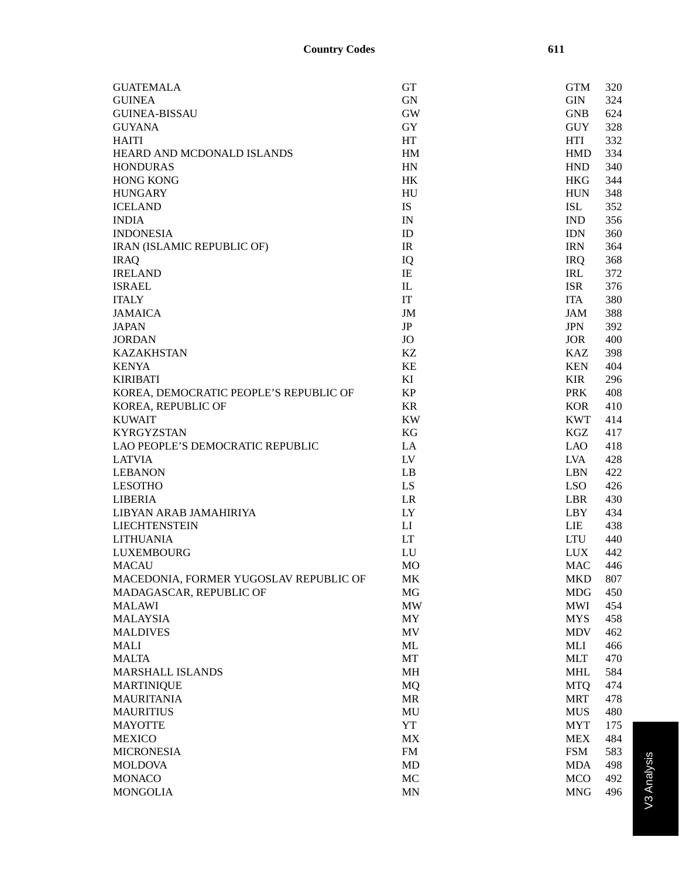| <b>GUATEMALA</b>                       | <b>GT</b>              | <b>GTM</b>       | 320        |
|----------------------------------------|------------------------|------------------|------------|
| <b>GUINEA</b>                          | <b>GN</b>              | <b>GIN</b>       | 324        |
| <b>GUINEA-BISSAU</b>                   | <b>GW</b>              | <b>GNB</b>       | 624        |
| <b>GUYANA</b>                          | GY                     | <b>GUY</b>       | 328        |
| <b>HAITI</b>                           | HT                     | <b>HTI</b>       | 332        |
| HEARD AND MCDONALD ISLANDS             | HM                     | <b>HMD</b>       | 334        |
| <b>HONDURAS</b>                        | HN                     | <b>HND</b>       | 340        |
| <b>HONG KONG</b>                       | HK                     | <b>HKG</b>       | 344        |
| <b>HUNGARY</b>                         | HU                     | <b>HUN</b>       | 348        |
| <b>ICELAND</b>                         | IS                     | <b>ISL</b>       | 352        |
| <b>INDIA</b>                           | IN                     | <b>IND</b>       | 356        |
| <b>INDONESIA</b>                       | ID                     | <b>IDN</b>       | 360        |
| <b>IRAN (ISLAMIC REPUBLIC OF)</b>      | IR                     | <b>IRN</b>       | 364        |
| <b>IRAQ</b>                            | IQ                     | <b>IRQ</b>       | 368        |
| <b>IRELAND</b>                         | IE                     | <b>IRL</b>       | 372        |
| <b>ISRAEL</b>                          | $\mathbbm{L}$          | <b>ISR</b>       | 376        |
| <b>ITALY</b>                           | IT                     | <b>ITA</b>       | 380        |
| <b>JAMAICA</b>                         | JM                     | <b>JAM</b>       | 388        |
| <b>JAPAN</b>                           | JP                     | <b>JPN</b>       | 392        |
| <b>JORDAN</b>                          | <b>JO</b>              | <b>JOR</b>       | 400        |
| <b>KAZAKHSTAN</b>                      | KZ                     | KAZ              | 398        |
| <b>KENYA</b>                           | KE                     | <b>KEN</b>       | 404        |
| <b>KIRIBATI</b>                        | KI                     | <b>KIR</b>       | 296        |
| KOREA, DEMOCRATIC PEOPLE'S REPUBLIC OF | <b>KP</b>              | <b>PRK</b>       | 408        |
| KOREA, REPUBLIC OF                     | <b>KR</b>              | <b>KOR</b>       | 410        |
| <b>KUWAIT</b>                          | <b>KW</b>              | <b>KWT</b>       | 414        |
| <b>KYRGYZSTAN</b>                      | KG                     | KGZ              | 417        |
| LAO PEOPLE'S DEMOCRATIC REPUBLIC       | LA                     | <b>LAO</b>       | 418        |
| <b>LATVIA</b>                          | LV                     | <b>LVA</b>       | 428        |
| <b>LEBANON</b>                         | LB                     | <b>LBN</b>       | 422        |
|                                        | LS                     | LSO <sub>.</sub> |            |
| <b>LESOTHO</b><br><b>LIBERIA</b>       | LR                     | <b>LBR</b>       | 426        |
|                                        |                        |                  | 430<br>434 |
| LIBYAN ARAB JAMAHIRIYA                 | LY                     | LBY.             |            |
| <b>LIECHTENSTEIN</b>                   | $\mathbf{L}\mathbf{I}$ | LIE<br>LTU       | 438        |
| <b>LITHUANIA</b>                       | LT                     |                  | 440        |
| <b>LUXEMBOURG</b>                      | LU                     | <b>LUX</b>       | 442        |
| <b>MACAU</b>                           | <b>MO</b>              | <b>MAC</b>       | 446        |
| MACEDONIA, FORMER YUGOSLAV REPUBLIC OF | MK                     | MKD              | 807        |
| MADAGASCAR, REPUBLIC OF                | MG                     | <b>MDG</b>       | 450        |
| <b>MALAWI</b>                          | <b>MW</b>              | <b>MWI</b>       | 454        |
| <b>MALAYSIA</b>                        | MY                     | <b>MYS</b>       | 458        |
| <b>MALDIVES</b>                        | MV                     | <b>MDV</b>       | 462        |
| <b>MALI</b>                            | ML                     | MLI              | 466        |
| <b>MALTA</b>                           | MT                     | <b>MLT</b>       | 470        |
| MARSHALL ISLANDS                       | <b>MH</b>              | <b>MHL</b>       | 584        |
| <b>MARTINIQUE</b>                      | <b>MQ</b>              | <b>MTQ</b>       | 474        |
| <b>MAURITANIA</b>                      | <b>MR</b>              | <b>MRT</b>       | 478        |
| <b>MAURITIUS</b>                       | MU                     | <b>MUS</b>       | 480        |
| <b>MAYOTTE</b>                         | YT                     | <b>MYT</b>       | 175        |
| <b>MEXICO</b>                          | MX                     | <b>MEX</b>       | 484        |
| <b>MICRONESIA</b>                      | <b>FM</b>              | <b>FSM</b>       | 583        |
| <b>MOLDOVA</b>                         | MD                     | <b>MDA</b>       | 498        |
| <b>MONACO</b>                          | MC                     | <b>MCO</b>       | 492        |
| <b>MONGOLIA</b>                        | <b>MN</b>              | <b>MNG</b>       | 496        |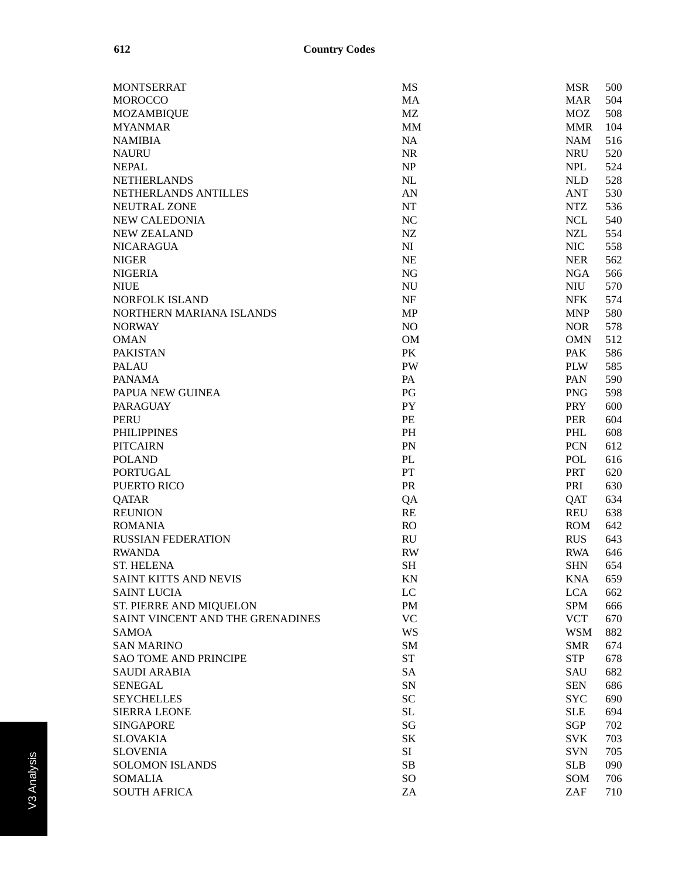| <b>MONTSERRAT</b>                | <b>MS</b>              | <b>MSR</b><br>500 |
|----------------------------------|------------------------|-------------------|
| <b>MOROCCO</b>                   | MA                     | 504<br><b>MAR</b> |
| <b>MOZAMBIQUE</b>                | MZ                     | 508<br><b>MOZ</b> |
| <b>MYANMAR</b>                   | <b>MM</b>              | <b>MMR</b><br>104 |
| <b>NAMIBIA</b>                   | NA                     | <b>NAM</b><br>516 |
| <b>NAURU</b>                     | <b>NR</b>              | <b>NRU</b><br>520 |
| <b>NEPAL</b>                     | NP                     | <b>NPL</b><br>524 |
| <b>NETHERLANDS</b>               | <b>NL</b>              | <b>NLD</b><br>528 |
| NETHERLANDS ANTILLES             | AN                     | 530<br><b>ANT</b> |
| NEUTRAL ZONE                     | <b>NT</b>              | <b>NTZ</b><br>536 |
| <b>NEW CALEDONIA</b>             | NC                     | <b>NCL</b><br>540 |
| <b>NEW ZEALAND</b>               | NZ                     | <b>NZL</b><br>554 |
| <b>NICARAGUA</b>                 | NI                     | <b>NIC</b><br>558 |
| <b>NIGER</b>                     | <b>NE</b>              | <b>NER</b><br>562 |
| <b>NIGERIA</b>                   | NG                     | <b>NGA</b><br>566 |
| <b>NIUE</b>                      | <b>NU</b>              | <b>NIU</b><br>570 |
| NORFOLK ISLAND                   | NF                     | <b>NFK</b><br>574 |
| NORTHERN MARIANA ISLANDS         | <b>MP</b>              | <b>MNP</b><br>580 |
| <b>NORWAY</b>                    | NO                     | <b>NOR</b><br>578 |
| <b>OMAN</b>                      | <b>OM</b>              | 512<br><b>OMN</b> |
| <b>PAKISTAN</b>                  | PK                     | <b>PAK</b><br>586 |
| <b>PALAU</b>                     | <b>PW</b>              | <b>PLW</b><br>585 |
| <b>PANAMA</b>                    | PA                     | PAN<br>590        |
| PAPUA NEW GUINEA                 | PG                     | <b>PNG</b><br>598 |
| <b>PARAGUAY</b>                  | <b>PY</b>              | <b>PRY</b><br>600 |
| <b>PERU</b>                      | PE                     | <b>PER</b><br>604 |
| <b>PHILIPPINES</b>               | <b>PH</b>              | PHL<br>608        |
| <b>PITCAIRN</b>                  | PN                     | <b>PCN</b><br>612 |
| <b>POLAND</b>                    | PL                     | POL<br>616        |
| <b>PORTUGAL</b>                  | PT                     | <b>PRT</b>        |
| PUERTO RICO                      | PR                     | 620<br>PRI        |
| <b>QATAR</b>                     |                        | 630               |
|                                  | QA                     | 634<br>QAT        |
| <b>REUNION</b><br><b>ROMANIA</b> | RE                     | <b>REU</b><br>638 |
|                                  | RO                     | <b>ROM</b><br>642 |
| <b>RUSSIAN FEDERATION</b>        | <b>RU</b>              | <b>RUS</b><br>643 |
| <b>RWANDA</b>                    | <b>RW</b>              | <b>RWA</b><br>646 |
| <b>ST. HELENA</b>                | <b>SH</b>              | <b>SHN</b><br>654 |
| SAINT KITTS AND NEVIS            | $\rm KN$               | KNA<br>659        |
| <b>SAINT LUCIA</b>               | LC                     | <b>LCA</b><br>662 |
| ST. PIERRE AND MIQUELON          | <b>PM</b>              | <b>SPM</b><br>666 |
| SAINT VINCENT AND THE GRENADINES | <b>VC</b>              | <b>VCT</b><br>670 |
| <b>SAMOA</b>                     | WS                     | <b>WSM</b><br>882 |
| <b>SAN MARINO</b>                | SM                     | 674<br><b>SMR</b> |
| <b>SAO TOME AND PRINCIPE</b>     | ${\cal S}{\cal T}$     | <b>STP</b><br>678 |
| <b>SAUDI ARABIA</b>              | <b>SA</b>              | <b>SAU</b><br>682 |
| <b>SENEGAL</b>                   | SN                     | <b>SEN</b><br>686 |
| <b>SEYCHELLES</b>                | <b>SC</b>              | <b>SYC</b><br>690 |
| <b>SIERRA LEONE</b>              | SL                     | <b>SLE</b><br>694 |
| <b>SINGAPORE</b>                 | $\mathbf{S}\mathbf{G}$ | <b>SGP</b><br>702 |
| <b>SLOVAKIA</b>                  | SK                     | <b>SVK</b><br>703 |
| <b>SLOVENIA</b>                  | SI                     | <b>SVN</b><br>705 |
| <b>SOLOMON ISLANDS</b>           | SB                     | <b>SLB</b><br>090 |
| <b>SOMALIA</b>                   | SO                     | SOM<br>706        |
| <b>SOUTH AFRICA</b>              | ZA                     | ZAF<br>710        |